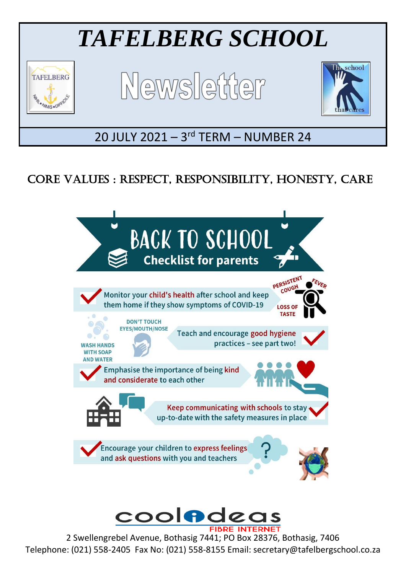

# CORE VALUES : RESPECT, RESPONSIBILITY, HONESTY, CARE



2 Swellengrebel Avenue, Bothasig 7441; PO Box 28376, Bothasig, 7406 Telephone: (021) 558-2405 Fax No: (021) 558-8155 Email: secretary@tafelbergschool.co.za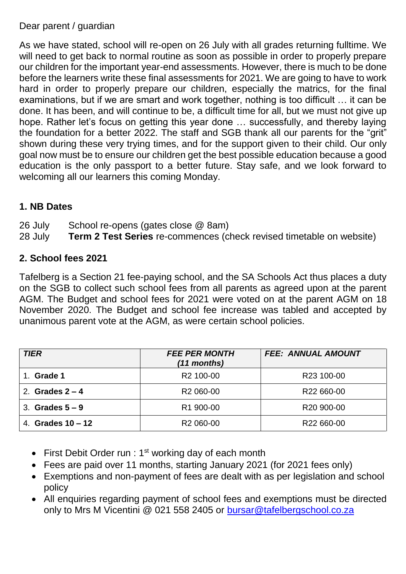#### Dear parent / guardian

As we have stated, school will re-open on 26 July with all grades returning fulltime. We will need to get back to normal routine as soon as possible in order to properly prepare our children for the important year-end assessments. However, there is much to be done before the learners write these final assessments for 2021. We are going to have to work hard in order to properly prepare our children, especially the matrics, for the final examinations, but if we are smart and work together, nothing is too difficult … it can be done. It has been, and will continue to be, a difficult time for all, but we must not give up hope. Rather let's focus on getting this year done … successfully, and thereby laying the foundation for a better 2022. The staff and SGB thank all our parents for the "grit" shown during these very trying times, and for the support given to their child. Our only goal now must be to ensure our children get the best possible education because a good education is the only passport to a better future. Stay safe, and we look forward to welcoming all our learners this coming Monday.

# **1. NB Dates**

26 July School re-opens (gates close @ 8am)

28 July **Term 2 Test Series** re-commences (check revised timetable on website)

#### **2. School fees 2021**

Tafelberg is a Section 21 fee-paying school, and the SA Schools Act thus places a duty on the SGB to collect such school fees from all parents as agreed upon at the parent AGM. The Budget and school fees for 2021 were voted on at the parent AGM on 18 November 2020. The Budget and school fee increase was tabled and accepted by unanimous parent vote at the AGM, as were certain school policies.

| <b>TIER</b>         | <b>FEE PER MONTH</b><br>$(11$ months) | <b>FEE: ANNUAL AMOUNT</b> |
|---------------------|---------------------------------------|---------------------------|
| 1. Grade 1          | R <sub>2</sub> 100-00                 | R23 100-00                |
| 2. Grades $2 - 4$   | R <sub>2</sub> 060-00                 | R <sub>22</sub> 660-00    |
| 3. Grades $5-9$     | R1 900-00                             | R <sub>20</sub> 900-00    |
| 4. Grades $10 - 12$ | R <sub>2</sub> 060-00                 | R22 660-00                |

- First Debit Order run :  $1<sup>st</sup>$  working day of each month
- Fees are paid over 11 months, starting January 2021 (for 2021 fees only)
- Exemptions and non-payment of fees are dealt with as per legislation and school policy
- All enquiries regarding payment of school fees and exemptions must be directed only to Mrs M Vicentini @ 021 558 2405 or [bursar@tafelbergschool.co.za](mailto:bursar@tafelbergschool.co.za)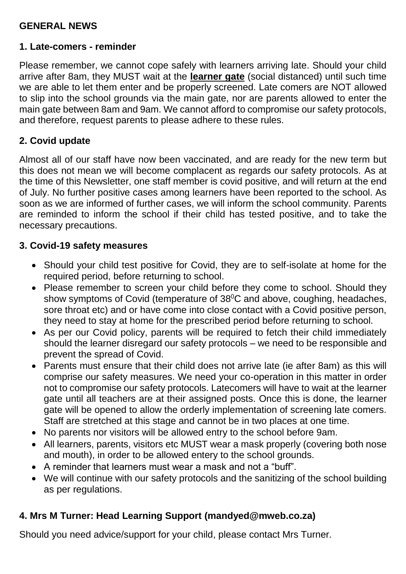# **GENERAL NEWS**

#### **1. Late-comers - reminder**

Please remember, we cannot cope safely with learners arriving late. Should your child arrive after 8am, they MUST wait at the **learner gate** (social distanced) until such time we are able to let them enter and be properly screened. Late comers are NOT allowed to slip into the school grounds via the main gate, nor are parents allowed to enter the main gate between 8am and 9am. We cannot afford to compromise our safety protocols, and therefore, request parents to please adhere to these rules.

### **2. Covid update**

Almost all of our staff have now been vaccinated, and are ready for the new term but this does not mean we will become complacent as regards our safety protocols. As at the time of this Newsletter, one staff member is covid positive, and will return at the end of July. No further positive cases among learners have been reported to the school. As soon as we are informed of further cases, we will inform the school community. Parents are reminded to inform the school if their child has tested positive, and to take the necessary precautions.

#### **3. Covid-19 safety measures**

- Should your child test positive for Covid, they are to self-isolate at home for the required period, before returning to school.
- Please remember to screen your child before they come to school. Should they show symptoms of Covid (temperature of 38<sup>°</sup>C and above, coughing, headaches, sore throat etc) and or have come into close contact with a Covid positive person, they need to stay at home for the prescribed period before returning to school.
- As per our Covid policy, parents will be required to fetch their child immediately should the learner disregard our safety protocols – we need to be responsible and prevent the spread of Covid.
- Parents must ensure that their child does not arrive late (ie after 8am) as this will comprise our safety measures. We need your co-operation in this matter in order not to compromise our safety protocols. Latecomers will have to wait at the learner gate until all teachers are at their assigned posts. Once this is done, the learner gate will be opened to allow the orderly implementation of screening late comers. Staff are stretched at this stage and cannot be in two places at one time.
- No parents nor visitors will be allowed entry to the school before 9am.
- All learners, parents, visitors etc MUST wear a mask properly (covering both nose and mouth), in order to be allowed entery to the school grounds.
- A reminder that learners must wear a mask and not a "buff".
- We will continue with our safety protocols and the sanitizing of the school building as per regulations.

# **4. Mrs M Turner: Head Learning Support (mandyed@mweb.co.za)**

Should you need advice/support for your child, please contact Mrs Turner.